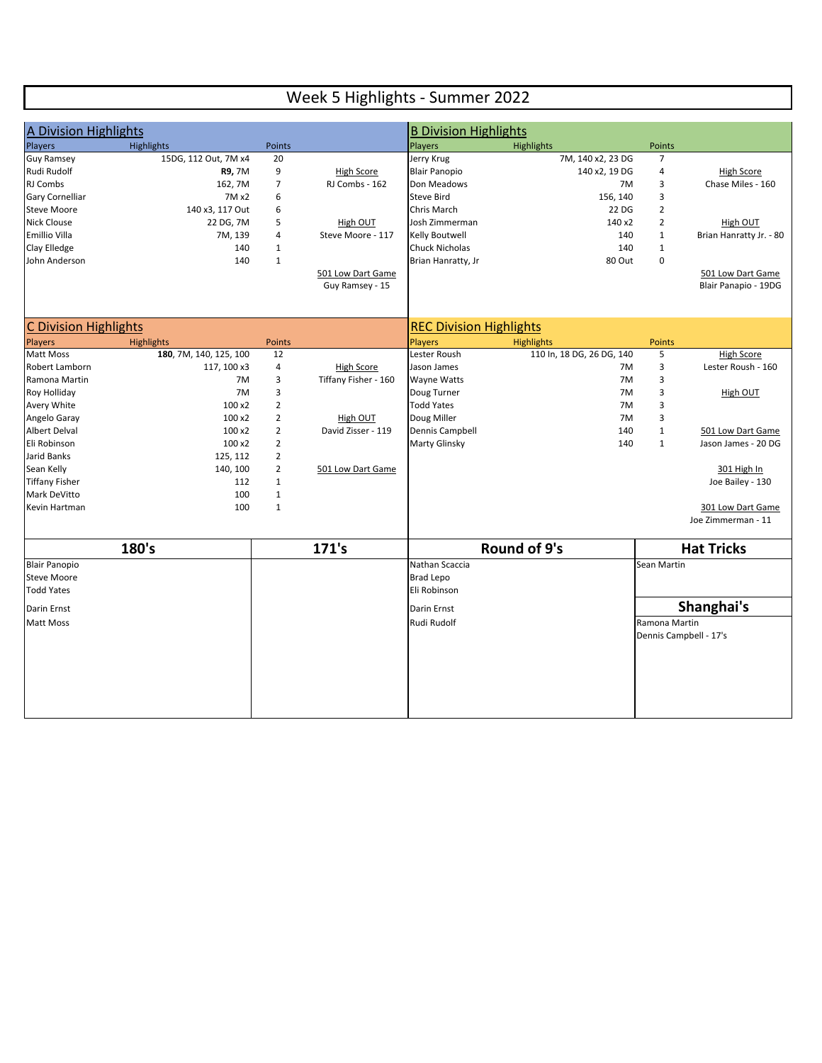## Week 5 Highlights - Summer 2022

| A Division Highlights                |                        |                                  |                                | <b>B Division Highlights</b>   |                           |                   |                                          |
|--------------------------------------|------------------------|----------------------------------|--------------------------------|--------------------------------|---------------------------|-------------------|------------------------------------------|
| Players                              | <b>Highlights</b>      | Points                           |                                | Players                        | Highlights                | Points            |                                          |
| <b>Guy Ramsey</b>                    | 15DG, 112 Out, 7M x4   | 20                               |                                | Jerry Krug                     | 7M, 140 x2, 23 DG         | $\overline{7}$    |                                          |
| Rudi Rudolf                          | R9, 7M                 | 9                                | High Score                     | <b>Blair Panopio</b>           | 140 x2, 19 DG             | 4                 | <b>High Score</b>                        |
| RJ Combs                             | 162, 7M                | $\boldsymbol{7}$                 | RJ Combs - 162                 | Don Meadows                    | 7M                        | 3                 | Chase Miles - 160                        |
| <b>Gary Cornelliar</b>               | 7M x2                  | 6                                |                                | <b>Steve Bird</b>              | 156, 140                  | 3                 |                                          |
| <b>Steve Moore</b>                   | 140 x3, 117 Out        | 6                                |                                | Chris March                    | 22 DG                     | $\overline{2}$    |                                          |
| <b>Nick Clouse</b>                   | 22 DG, 7M              | 5                                | High OUT                       | Josh Zimmerman                 | 140 x2                    | $\overline{2}$    | High OUT                                 |
| <b>Emillio Villa</b>                 | 7M, 139                | 4                                | Steve Moore - 117              | Kelly Boutwell                 | 140                       | $\mathbf{1}$      | Brian Hanratty Jr. - 80                  |
| Clay Elledge                         | 140                    | $\mathbf{1}$                     |                                | <b>Chuck Nicholas</b>          | 140                       | $\mathbf{1}$      |                                          |
| John Anderson                        | 140                    | $\mathbf{1}$                     |                                | Brian Hanratty, Jr             | 80 Out                    | 0                 |                                          |
|                                      |                        |                                  | 501 Low Dart Game              |                                |                           |                   | 501 Low Dart Game                        |
|                                      |                        |                                  | Guy Ramsey - 15                |                                |                           |                   | Blair Panapio - 19DG                     |
|                                      |                        |                                  |                                |                                |                           |                   |                                          |
|                                      |                        |                                  |                                |                                |                           |                   |                                          |
| <b>C Division Highlights</b>         |                        |                                  |                                | <b>REC Division Highlights</b> |                           |                   |                                          |
| <b>Players</b>                       | <b>Highlights</b>      | <b>Points</b>                    |                                | <b>Players</b>                 | <b>Highlights</b>         | <b>Points</b>     |                                          |
| <b>Matt Moss</b>                     | 180, 7M, 140, 125, 100 | 12                               |                                | Lester Roush                   | 110 ln, 18 DG, 26 DG, 140 | 5                 | <b>High Score</b>                        |
| Robert Lamborn                       | 117, 100 x3            | $\overline{4}$                   | <b>High Score</b>              | Jason James                    | 7M                        | 3                 | Lester Roush - 160                       |
| Ramona Martin                        | 7M                     | 3                                | Tiffany Fisher - 160           | <b>Wayne Watts</b>             | 7M                        | 3                 |                                          |
| Roy Holliday                         | 7M                     | 3                                |                                | Doug Turner                    | 7M                        | 3                 | <b>High OUT</b>                          |
| Avery White                          | 100 x2                 | $\overline{2}$                   |                                | <b>Todd Yates</b>              | 7M                        | 3                 |                                          |
| Angelo Garay<br><b>Albert Delval</b> | 100 x2<br>100 x2       | $\overline{2}$<br>$\overline{2}$ | High OUT<br>David Zisser - 119 | Doug Miller<br>Dennis Campbell | 7M<br>140                 | 3<br>$\mathbf{1}$ |                                          |
| Eli Robinson                         | 100 x2                 | $\overline{2}$                   |                                | Marty Glinsky                  | 140                       | $\mathbf{1}$      | 501 Low Dart Game<br>Jason James - 20 DG |
| Jarid Banks                          | 125, 112               | $\overline{2}$                   |                                |                                |                           |                   |                                          |
| Sean Kelly                           | 140, 100               | $\overline{2}$                   | 501 Low Dart Game              |                                |                           |                   | 301 High In                              |
| <b>Tiffany Fisher</b>                | 112                    | $\mathbf{1}$                     |                                |                                |                           |                   | Joe Bailey - 130                         |
| Mark DeVitto                         | 100                    | $\mathbf{1}$                     |                                |                                |                           |                   |                                          |
| Kevin Hartman                        | 100                    | $\mathbf{1}$                     |                                |                                |                           |                   | 301 Low Dart Game                        |
|                                      |                        |                                  |                                |                                |                           |                   | Joe Zimmerman - 11                       |
|                                      |                        |                                  |                                |                                |                           |                   |                                          |
|                                      | 180's                  |                                  | 171's                          |                                | <b>Round of 9's</b>       |                   | <b>Hat Tricks</b>                        |
| <b>Blair Panopio</b>                 |                        |                                  |                                | Nathan Scaccia                 |                           | Sean Martin       |                                          |
| <b>Steve Moore</b>                   |                        |                                  |                                | <b>Brad Lepo</b>               |                           |                   |                                          |
| <b>Todd Yates</b>                    |                        |                                  |                                | Eli Robinson                   |                           |                   |                                          |
| Darin Ernst                          |                        |                                  | Darin Ernst                    |                                |                           | Shanghai's        |                                          |
| <b>Matt Moss</b>                     |                        |                                  |                                | Rudi Rudolf                    |                           | Ramona Martin     |                                          |
|                                      |                        |                                  |                                |                                |                           |                   | Dennis Campbell - 17's                   |
|                                      |                        |                                  |                                |                                |                           |                   |                                          |
|                                      |                        |                                  |                                |                                |                           |                   |                                          |
|                                      |                        |                                  |                                |                                |                           |                   |                                          |
|                                      |                        |                                  |                                |                                |                           |                   |                                          |
|                                      |                        |                                  |                                |                                |                           |                   |                                          |
|                                      |                        |                                  |                                |                                |                           |                   |                                          |